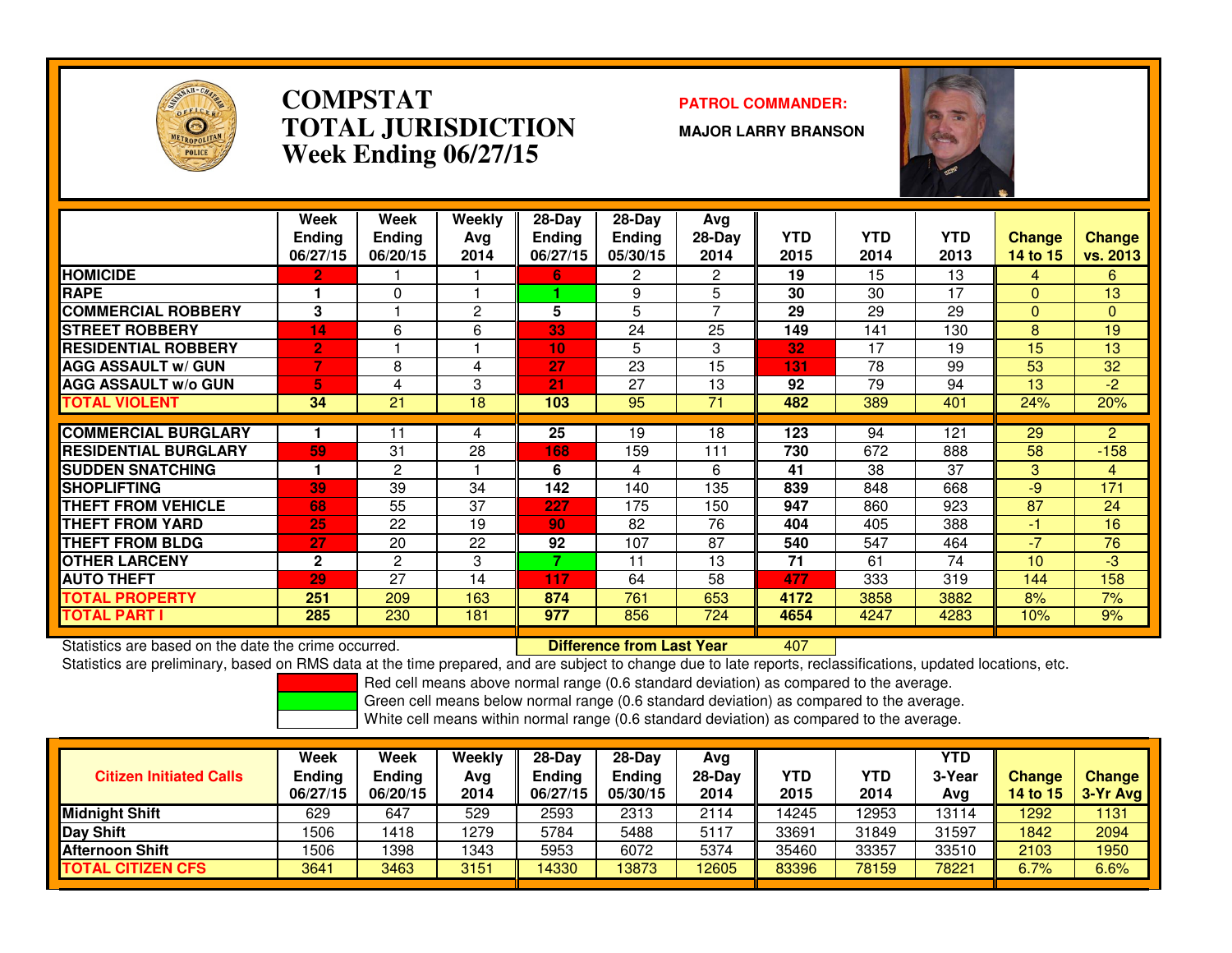

### **COMPSTATPATROL COMMANDER:**<br> **PATROL COMMANDER: TOTAL JURISDICTIONWeek Ending 06/27/15**

**MAJOR LARRY BRANSON**



|                              | Week<br><b>Ending</b><br>06/27/15 | Week<br><b>Ending</b><br>06/20/15 | Weekly<br>Ava<br>2014 | $28-Day$<br><b>Endina</b><br>06/27/15 | $28-Day$<br>Ending<br>05/30/15 | Avg<br>28-Day<br>2014 | YTD<br>2015 | <b>YTD</b><br>2014 | <b>YTD</b><br>2013 | <b>Change</b><br><b>14 to 15</b> | <b>Change</b><br><b>vs. 2013</b> |
|------------------------------|-----------------------------------|-----------------------------------|-----------------------|---------------------------------------|--------------------------------|-----------------------|-------------|--------------------|--------------------|----------------------------------|----------------------------------|
| <b>HOMICIDE</b>              | $\mathbf{2}$                      |                                   |                       | 6                                     | 2                              | 2                     | 19          | 15                 | 13                 | 4                                | 6                                |
| <b>RAPE</b>                  |                                   | 0                                 |                       |                                       | 9                              | 5                     | 30          | 30                 | 17                 | $\Omega$                         | 13                               |
| <b>COMMERCIAL ROBBERY</b>    | 3                                 |                                   | 2                     | 5                                     | 5                              | 7                     | 29          | 29                 | 29                 | $\Omega$                         | $\Omega$                         |
| <b>STREET ROBBERY</b>        | 14                                | 6                                 | 6                     | 33                                    | 24                             | 25                    | 149         | 141                | 130                | 8                                | 19                               |
| <b>RESIDENTIAL ROBBERY</b>   | $\overline{2}$                    |                                   |                       | 10                                    | 5                              | 3                     | 32          | 17                 | 19                 | 15                               | 13                               |
| <b>AGG ASSAULT w/ GUN</b>    | 7                                 | 8                                 | 4                     | 27                                    | 23                             | 15                    | 131         | 78                 | 99                 | 53                               | 32                               |
| <b>AGG ASSAULT w/o GUN</b>   | 5                                 | 4                                 | 3                     | 21                                    | 27                             | 13                    | 92          | 79                 | 94                 | 13                               | -2                               |
| <b>TOTAL VIOLENT</b>         | 34                                | 21                                | 18                    | 103                                   | 95                             | 71                    | 482         | 389                | 401                | 24%                              | 20%                              |
|                              |                                   |                                   |                       |                                       |                                |                       |             |                    |                    |                                  |                                  |
| <b>COMMERCIAL BURGLARY</b>   |                                   | 11                                | 4                     | 25                                    | 19                             | 18                    | 123         | 94                 | 121                | 29                               | $\overline{2}$                   |
| <b>IRESIDENTIAL BURGLARY</b> | 59                                | 31                                | 28                    | 168                                   | 159                            | 111                   | 730         | 672                | 888                | 58                               | $-158$                           |
| <b>SUDDEN SNATCHING</b>      |                                   | 2                                 |                       | 6                                     | 4                              | 6                     | 41          | 38                 | 37                 | 3                                | 4                                |
| <b>ISHOPLIFTING</b>          | 39                                | 39                                | 34                    | 142                                   | 140                            | 135                   | 839         | 848                | 668                | $-9$                             | 171                              |
| <b>THEFT FROM VEHICLE</b>    | 68                                | 55                                | 37                    | 227                                   | 175                            | 150                   | 947         | 860                | 923                | 87                               | 24                               |
| <b>THEFT FROM YARD</b>       | 25                                | 22                                | 19                    | 90                                    | 82                             | 76                    | 404         | 405                | 388                | -1                               | 16                               |
| <b>THEFT FROM BLDG</b>       | 27                                | 20                                | 22                    | 92                                    | 107                            | 87                    | 540         | 547                | 464                | $-7$                             | 76                               |
| <b>OTHER LARCENY</b>         | $\mathbf{2}$                      | 2                                 | 3                     | 7                                     | 11                             | 13                    | 71          | 61                 | 74                 | 10                               | -3                               |
| <b>AUTO THEFT</b>            | 29                                | 27                                | 14                    | 117                                   | 64                             | 58                    | 477         | 333                | 319                | 144                              | 158                              |
| <b>TOTAL PROPERTY</b>        | 251                               | 209                               | 163                   | 874                                   | 761                            | 653                   | 4172        | 3858               | 3882               | 8%                               | 7%                               |
| <b>TOTAL PART I</b>          | 285                               | 230                               | 181                   | 977                                   | 856                            | 724                   | 4654        | 4247               | 4283               | 10%                              | 9%                               |

Statistics are based on the date the crime occurred. **Difference from Last Year** 

Statistics are based on the date the crime occurred. **[10] Letter Lubber 10 Letter are Statistics** are based on the date time occurred.<br>Statistics are preliminary, based on RMS data at the time prepared, and are subject to

Red cell means above normal range (0.6 standard deviation) as compared to the average.

Green cell means below normal range (0.6 standard deviation) as compared to the average.

| <b>Citizen Initiated Calls</b> | Week<br>Ending<br>06/27/15 | Week<br>Ending<br>06/20/15 | Weekly<br>Ava<br>2014 | 28-Dav<br>Endina<br>06/27/15 | $28-Dav$<br>Ending<br>05/30/15 | Avg<br>$28-Day$<br>2014 | YTD<br>2015 | YTD<br>2014 | YTD<br>3-Year<br>Avg | <b>Change</b><br>14 to 15 | <b>Change</b><br>3-Yr Avg |
|--------------------------------|----------------------------|----------------------------|-----------------------|------------------------------|--------------------------------|-------------------------|-------------|-------------|----------------------|---------------------------|---------------------------|
| Midnight Shift                 | 629                        | 647                        | 529                   | 2593                         | 2313                           | 2114                    | 14245       | 12953       | 13114                | 1292                      | 1131                      |
| Day Shift                      | 1506                       | 1418                       | 1279                  | 5784                         | 5488                           | 5117                    | 33691       | 31849       | 31597                | 1842                      | 2094                      |
| <b>Afternoon Shift</b>         | 1506                       | 1398                       | 1343                  | 5953                         | 6072                           | 5374                    | 35460       | 33357       | 33510                | 2103                      | 1950                      |
| <b>TOTAL CITIZEN CFS</b>       | 3641                       | 3463                       | 3151                  | 14330                        | 13873                          | 12605                   | 83396       | 78159       | 78221                | 6.7%                      | 6.6%                      |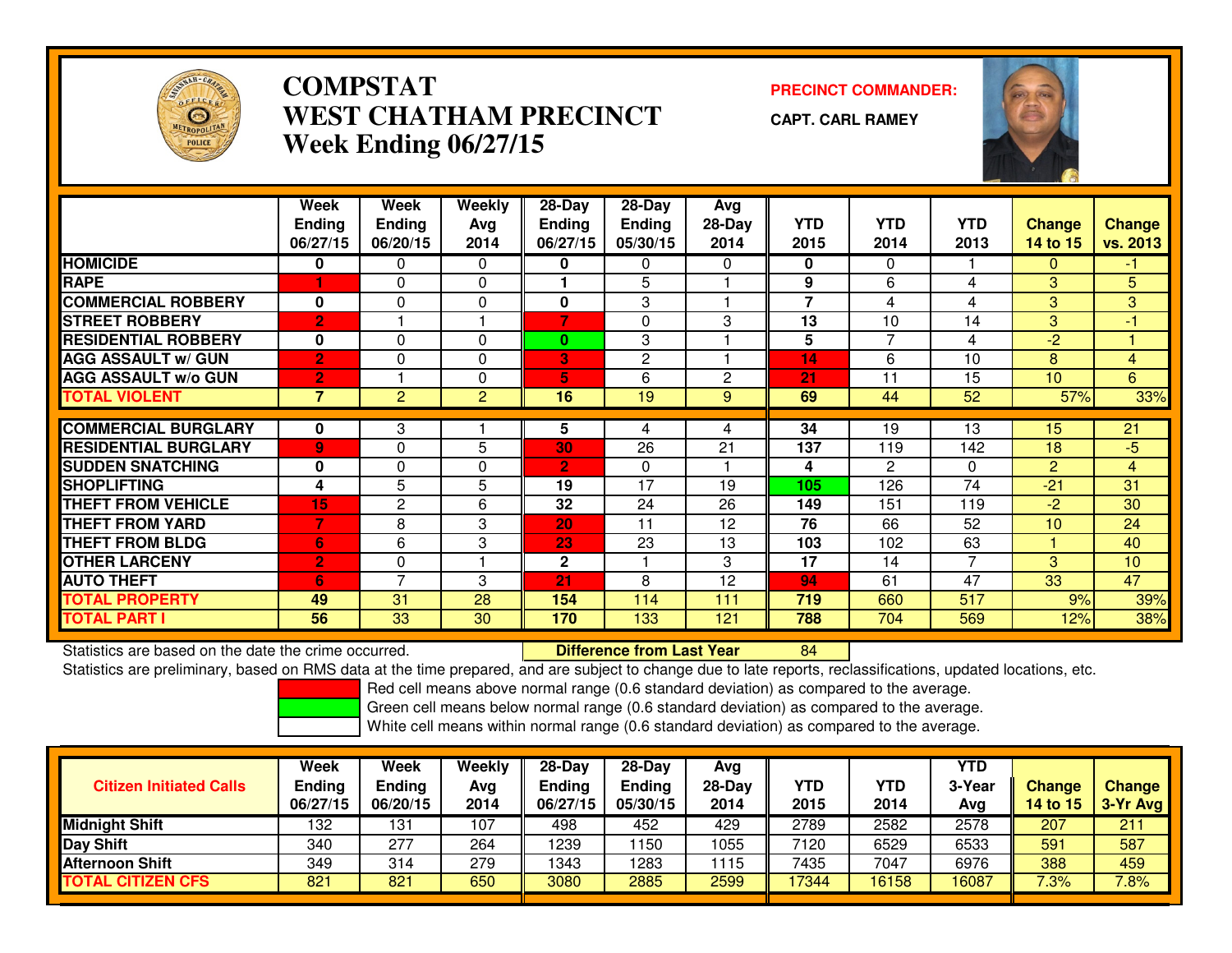

## **COMPSTAT PRECINCT COMMANDER: WEST CHATHAM PRECINCTWeek Ending 06/27/15**

**CAPT. CARL RAMEY**

<sup>84</sup>



|                             | Week<br><b>Ending</b><br>06/27/15 | Week<br><b>Ending</b><br>06/20/15 | Weekly<br>Avg<br>2014 | 28-Day<br>Ending<br>06/27/15 | $28$ -Day<br>Ending<br>05/30/15 | Avg<br>28-Day<br>2014 | <b>YTD</b><br>2015 | <b>YTD</b><br>2014 | <b>YTD</b><br>2013 | Change<br>14 to 15 | <b>Change</b><br>vs. 2013 |
|-----------------------------|-----------------------------------|-----------------------------------|-----------------------|------------------------------|---------------------------------|-----------------------|--------------------|--------------------|--------------------|--------------------|---------------------------|
| <b>HOMICIDE</b>             | 0                                 | 0                                 | $\Omega$              | 0                            | 0                               | 0                     | $\bf{0}$           | 0                  |                    | 0                  | -1                        |
| <b>RAPE</b>                 |                                   | $\Omega$                          | $\Omega$              |                              | 5                               |                       | 9                  | 6                  | 4                  | 3                  | 5                         |
| <b>COMMERCIAL ROBBERY</b>   | $\mathbf{0}$                      | $\Omega$                          | $\Omega$              | 0                            | 3                               |                       | $\overline{7}$     | 4                  | 4                  | 3                  | 3                         |
| <b>STREET ROBBERY</b>       | $\overline{2}$                    |                                   |                       | 7                            | $\Omega$                        | 3                     | 13                 | 10                 | 14                 | 3                  | $-1$                      |
| <b>RESIDENTIAL ROBBERY</b>  | 0                                 | $\Omega$                          | $\Omega$              | $\bf{0}$                     | 3                               |                       | 5                  | 7                  | 4                  | $-2$               |                           |
| <b>AGG ASSAULT w/ GUN</b>   | $\overline{2}$                    | $\Omega$                          | $\Omega$              | 3                            | $\overline{2}$                  |                       | 14                 | 6                  | 10                 | 8                  | $\overline{4}$            |
| <b>AGG ASSAULT w/o GUN</b>  | $\overline{2}$                    |                                   | $\Omega$              | 5                            | 6                               | $\mathbf{2}$          | 21                 | 11                 | 15                 | 10 <sup>°</sup>    | 6                         |
| <b>TOTAL VIOLENT</b>        | 7                                 | 2                                 | $\overline{2}$        | 16                           | 19                              | 9                     | 69                 | 44                 | 52                 | 57%                | 33%                       |
|                             |                                   |                                   |                       |                              |                                 |                       |                    |                    |                    |                    |                           |
| <b>COMMERCIAL BURGLARY</b>  | 0                                 | 3                                 |                       | 5                            | 4                               | 4                     | 34                 | 19                 | 13                 | 15                 | 21                        |
| <b>RESIDENTIAL BURGLARY</b> | 9                                 | $\Omega$                          | 5                     | 30                           | 26                              | 21                    | 137                | 119                | 142                | 18                 | $-5$                      |
| <b>SUDDEN SNATCHING</b>     | $\mathbf{0}$                      | $\Omega$                          | $\Omega$              | $\overline{2}$               | $\Omega$                        |                       | 4                  | $\mathbf{P}$       | 0                  | $\overline{2}$     | $\overline{4}$            |
| <b>SHOPLIFTING</b>          | 4                                 | 5                                 | 5                     | 19                           | 17                              | 19                    | 105                | 126                | 74                 | $-21$              | 31                        |
| <b>THEFT FROM VEHICLE</b>   | 15                                | $\mathbf{2}$                      | 6                     | 32                           | 24                              | 26                    | 149                | 151                | 119                | $-2$               | 30                        |
| <b>THEFT FROM YARD</b>      | 7                                 | 8                                 | 3                     | 20                           | 11                              | 12                    | 76                 | 66                 | 52                 | 10 <sup>1</sup>    | 24                        |
| <b>THEFT FROM BLDG</b>      | 6                                 | 6                                 | 3                     | 23                           | 23                              | 13                    | 103                | 102                | 63                 |                    | 40                        |
| <b>OTHER LARCENY</b>        | $\overline{2}$                    | $\Omega$                          |                       | $\mathbf{2}$                 |                                 | 3                     | 17                 | 14                 | $\overline{7}$     | 3                  | 10                        |
| <b>AUTO THEFT</b>           | 6                                 | $\overline{ }$                    | 3                     | 21                           | 8                               | 12                    | 94                 | 61                 | 47                 | 33                 | 47                        |
| <b>TOTAL PROPERTY</b>       | 49                                | 31                                | 28                    | 154                          | 114                             | 111                   | 719                | 660                | 517                | 9%                 | 39%                       |
| <b>TOTAL PART I</b>         | 56                                | $\overline{33}$                   | 30                    | 170                          | 133                             | 121                   | 788                | 704                | 569                | 12%                | 38%                       |

Statistics are based on the date the crime occurred. **Difference from Last Year** 

Statistics are preliminary, based on RMS data at the time prepared, and are subject to change due to late reports, reclassifications, updated locations, etc.

Red cell means above normal range (0.6 standard deviation) as compared to the average.

Green cell means below normal range (0.6 standard deviation) as compared to the average.

| <b>Citizen Initiated Calls</b> | Week<br><b>Ending</b><br>06/27/15 | Week<br><b>Ending</b><br>06/20/15 | Weekly<br>Avg<br>2014 | 28-Day<br>Ending<br>06/27/15 | $28-Dav$<br>Ending<br>05/30/15 | Ava<br>$28-Day$<br>2014 | YTD<br>2015 | YTD<br>2014 | YTD<br>3-Year<br>Avg | <b>Change</b><br>14 to 15 | <b>Change</b><br>3-Yr Avg |
|--------------------------------|-----------------------------------|-----------------------------------|-----------------------|------------------------------|--------------------------------|-------------------------|-------------|-------------|----------------------|---------------------------|---------------------------|
| <b>Midnight Shift</b>          | 132                               | 131                               | 107                   | 498                          | 452                            | 429                     | 2789        | 2582        | 2578                 | 207                       | 211                       |
| Day Shift                      | 340                               | 277                               | 264                   | 1239                         | 150                            | 1055                    | 7120        | 6529        | 6533                 | 591                       | 587                       |
| <b>Afternoon Shift</b>         | 349                               | 314                               | 279                   | 1343                         | 283                            | 1115                    | 7435        | 7047        | 6976                 | 388                       | 459                       |
| <b>TOTAL CITIZEN CFS</b>       | 821                               | 821                               | 650                   | 3080                         | 2885                           | 2599                    | 17344       | 16158       | 16087                | $7.3\%$                   | 7.8%                      |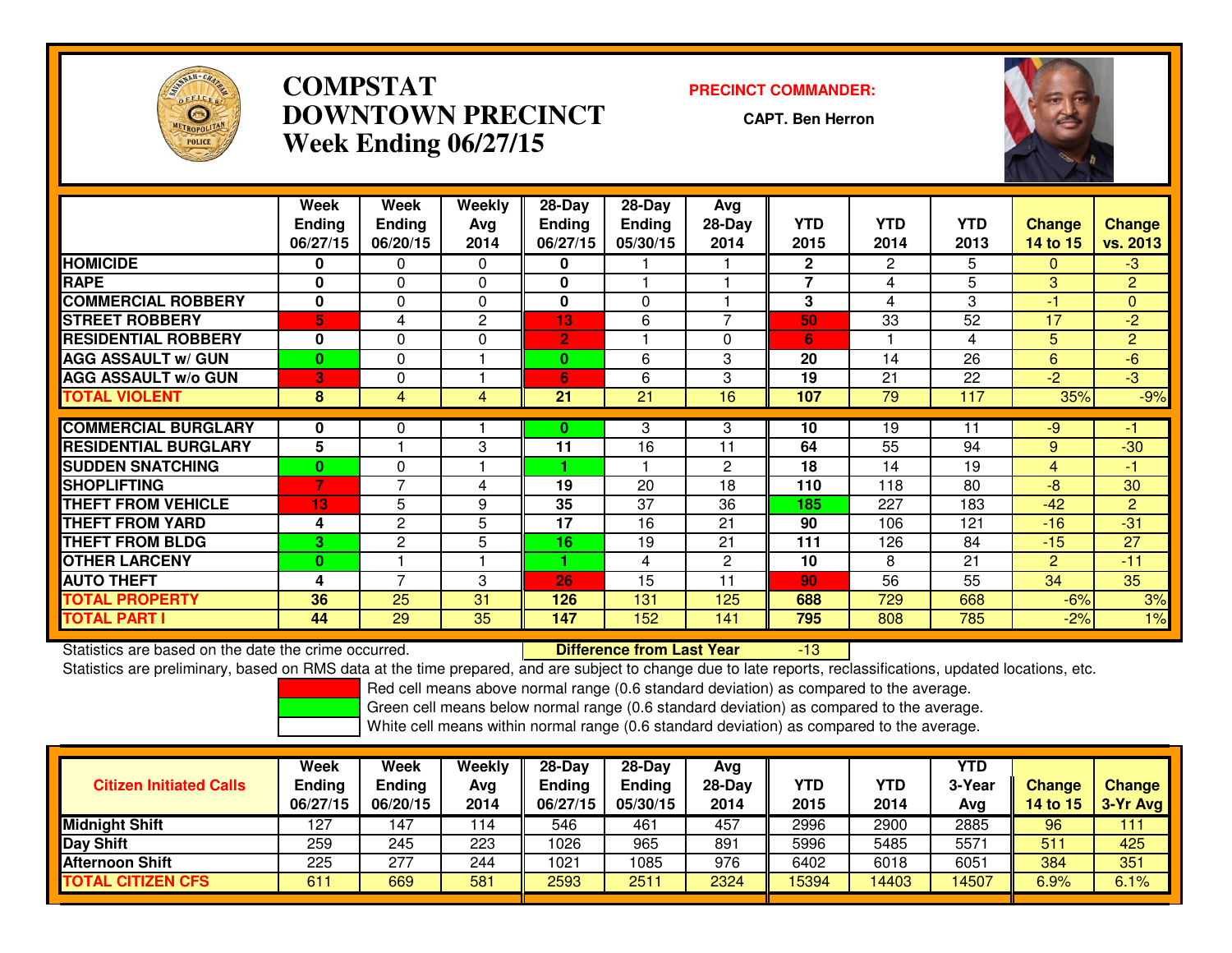

## **COMPSTAT PRECINCT COMMANDER: DOWNTOWN PRECINCTWeek Ending 06/27/15**

**CAPT. Ben Herron**

-13



|                             | Week<br>Ending<br>06/27/15 | Week<br><b>Endina</b><br>06/20/15 | Weekly<br>Avg<br>2014 | 28-Day<br><b>Ending</b><br>06/27/15 | 28-Day<br><b>Ending</b><br>05/30/15 | Avg<br>28-Day<br>2014 | <b>YTD</b><br>2015 | <b>YTD</b><br>2014 | <b>YTD</b><br>2013 | <b>Change</b><br>14 to 15 | Change<br>vs. 2013 |
|-----------------------------|----------------------------|-----------------------------------|-----------------------|-------------------------------------|-------------------------------------|-----------------------|--------------------|--------------------|--------------------|---------------------------|--------------------|
| <b>HOMICIDE</b>             | 0                          | 0                                 | 0                     | 0                                   |                                     |                       | $\mathbf{2}$       | 2                  | 5                  | $\Omega$                  | $-3$               |
| <b>RAPE</b>                 | 0                          | $\Omega$                          | $\Omega$              | $\bf{0}$                            |                                     |                       | $\overline{7}$     | 4                  | 5                  | 3                         | 2                  |
| <b>COMMERCIAL ROBBERY</b>   | 0                          | $\Omega$                          | $\Omega$              | $\bf{0}$                            | 0                                   |                       | 3                  | 4                  | 3                  | -1                        | $\mathbf{0}$       |
| <b>STREET ROBBERY</b>       | 5                          | 4                                 | 2                     | 13                                  | 6                                   | $\overline{ }$        | 50                 | 33                 | 52                 | 17                        | $-2$               |
| <b>RESIDENTIAL ROBBERY</b>  | 0                          | $\Omega$                          | $\Omega$              | $\overline{2}$                      |                                     | $\Omega$              | 6                  |                    | 4                  | 5                         | $\overline{2}$     |
| <b>AGG ASSAULT w/ GUN</b>   | $\mathbf{0}$               | 0                                 |                       | $\bf{0}$                            | 6                                   | 3                     | 20                 | 14                 | 26                 | 6                         | $-6$               |
| <b>AGG ASSAULT w/o GUN</b>  | 3                          | $\Omega$                          |                       | 6                                   | 6                                   | 3                     | 19                 | 21                 | 22                 | $-2$                      | -3                 |
| <b>TOTAL VIOLENT</b>        | 8                          | 4                                 | 4                     | 21                                  | 21                                  | 16                    | 107                | 79                 | 117                | 35%                       | $-9%$              |
| <b>COMMERCIAL BURGLARY</b>  | 0                          | 0                                 |                       | $\bf{0}$                            | 3                                   | 3                     | 10                 | 19                 | 11                 | $-9$                      | -1                 |
| <b>RESIDENTIAL BURGLARY</b> | 5                          |                                   | 3                     | 11                                  | 16                                  | 11                    | 64                 | 55                 | 94                 | 9                         | $-30$              |
| <b>SUDDEN SNATCHING</b>     | $\bf{0}$                   | $\Omega$                          |                       |                                     |                                     | 2                     | 18                 | 14                 | 19                 | 4                         | -1                 |
| <b>SHOPLIFTING</b>          | $\overline{7}$             | 7                                 | 4                     | 19                                  | 20                                  | 18                    | 110                | 118                | 80                 | -8                        | 30                 |
| <b>THEFT FROM VEHICLE</b>   | 13                         | 5                                 | 9                     | 35                                  | 37                                  | 36                    | 185                | 227                | 183                | $-42$                     | 2                  |
| <b>THEFT FROM YARD</b>      | 4                          | $\overline{2}$                    | 5                     | 17                                  | 16                                  | 21                    | 90                 | 106                | 121                | $-16$                     | $-31$              |
| <b>THEFT FROM BLDG</b>      | 3.                         | $\mathbf{2}$                      | 5                     | 16                                  | 19                                  | 21                    | 111                | 126                | 84                 | $-15$                     | 27                 |
| <b>OTHER LARCENY</b>        | $\bf{0}$                   |                                   |                       | 4                                   | 4                                   | 2                     | 10                 | 8                  | 21                 | $\overline{2}$            | $-11$              |
| <b>AUTO THEFT</b>           | 4                          | 7                                 | 3                     | 26                                  | 15                                  | 11                    | 90                 | 56                 | 55                 | 34                        | 35                 |
| TOTAL PROPERTY              | 36                         | 25                                | 31                    | 126                                 | 131                                 | 125                   | 688                | 729                | 668                | $-6%$                     | 3%                 |
| <b>TOTAL PART I</b>         | 44                         | 29                                | 35                    | 147                                 | 152                                 | 141                   | 795                | 808                | 785                | $-2%$                     | 1%                 |

Statistics are based on the date the crime occurred. **Difference from Last Year** 

Statistics are preliminary, based on RMS data at the time prepared, and are subject to change due to late reports, reclassifications, updated locations, etc.

Red cell means above normal range (0.6 standard deviation) as compared to the average.

Green cell means below normal range (0.6 standard deviation) as compared to the average.

| <b>Citizen Initiated Calls</b> | Week<br><b>Ending</b><br>06/27/15 | Week<br><b>Ending</b><br>06/20/15 | Weekly<br>Ava<br>2014 | $28-Dav$<br><b>Ending</b><br>06/27/15 | $28-Dav$<br><b>Ending</b><br>05/30/15 | Avg<br>$28-Day$<br>2014 | YTD<br>2015 | <b>YTD</b><br>2014 | YTD<br>3-Year<br>Avg | <b>Change</b><br>14 to 15 | <b>Change</b><br>3-Yr Avg |
|--------------------------------|-----------------------------------|-----------------------------------|-----------------------|---------------------------------------|---------------------------------------|-------------------------|-------------|--------------------|----------------------|---------------------------|---------------------------|
| <b>Midnight Shift</b>          | 127                               | 147                               | 114                   | 546                                   | 461                                   | 457                     | 2996        | 2900               | 2885                 | 96                        | 111                       |
| Day Shift                      | 259                               | 245                               | 223                   | 1026                                  | 965                                   | 891                     | 5996        | 5485               | 5571                 | 511                       | 425                       |
| Afternoon Shift                | 225                               | 277                               | 244                   | 1021                                  | 085                                   | 976                     | 6402        | 6018               | 6051                 | 384                       | 351                       |
| <b>TOTAL CITIZEN CFS</b>       | 611                               | 669                               | 581                   | 2593                                  | 2511                                  | 2324                    | 15394       | 14403              | 14507                | 6.9%                      | 6.1%                      |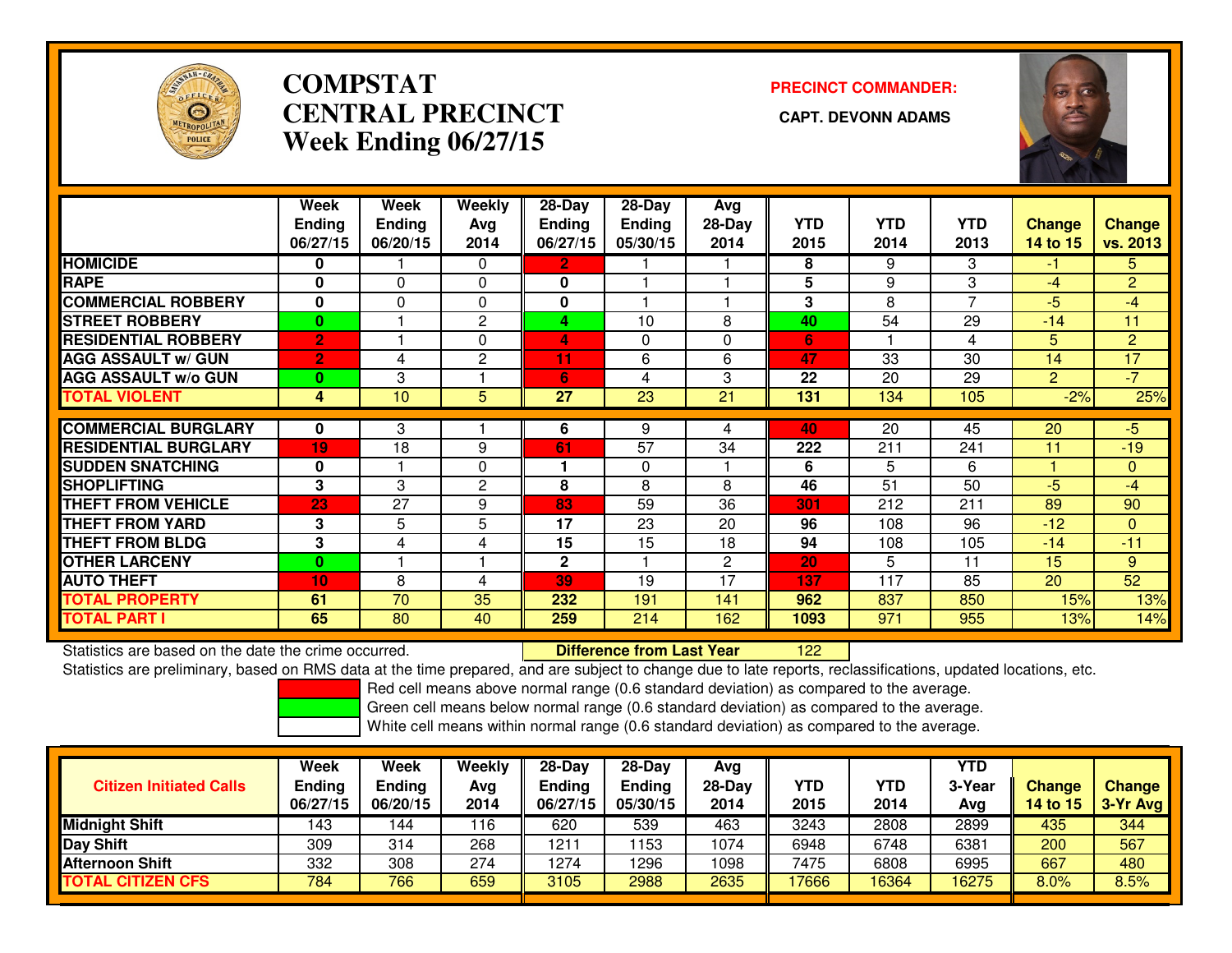

# **COMPSTATCENTRAL PRECINCT Week Ending 06/27/15**

**PRECINCT COMMANDER:**



|                             | Week<br><b>Ending</b> | Week<br><b>Ending</b> | <b>Weekly</b><br>Ava | $28-Day$<br><b>Ending</b> | $28$ -Day<br><b>Ending</b> | Avg<br>28-Day  | <b>YTD</b> | <b>YTD</b> | <b>YTD</b> | <b>Change</b>  | <b>Change</b>  |
|-----------------------------|-----------------------|-----------------------|----------------------|---------------------------|----------------------------|----------------|------------|------------|------------|----------------|----------------|
|                             | 06/27/15              | 06/20/15              | 2014                 | 06/27/15                  | 05/30/15                   | 2014           | 2015       | 2014       | 2013       | 14 to 15       | vs. 2013       |
| <b>HOMICIDE</b>             | 0                     |                       | $\Omega$             | $\overline{2}$            |                            |                | 8          | 9          | 3          | $-1$           | 5 <sup>5</sup> |
| <b>RAPE</b>                 | $\bf{0}$              | $\Omega$              | $\Omega$             | $\mathbf{0}$              |                            |                | 5          | 9          | 3          | $-4$           | $\overline{2}$ |
| <b>COMMERCIAL ROBBERY</b>   | $\bf{0}$              | $\Omega$              | $\Omega$             | 0                         |                            |                | 3          | 8          | 7          | $-5$           | $-4$           |
| <b>STREET ROBBERY</b>       | $\mathbf{0}$          |                       | $\overline{2}$       | 4                         | 10                         | 8              | 40         | 54         | 29         | $-14$          | 11             |
| <b>RESIDENTIAL ROBBERY</b>  | $\overline{2}$        |                       | $\Omega$             | 4                         | $\Omega$                   | $\Omega$       | 6          |            | 4          | 5              | $\overline{2}$ |
| <b>AGG ASSAULT w/ GUN</b>   | $\overline{2}$        | 4                     | $\overline{2}$       | 11                        | 6                          | 6              | 47         | 33         | 30         | 14             | 17             |
| <b>AGG ASSAULT w/o GUN</b>  | $\bf{0}$              | 3                     |                      | 6                         | 4                          | 3              | 22         | 20         | 29         | $\overline{2}$ | $-7$           |
| <b>TOTAL VIOLENT</b>        | 4                     | 10                    | 5                    | 27                        | 23                         | 21             | 131        | 134        | 105        | $-2%$          | 25%            |
| <b>COMMERCIAL BURGLARY</b>  | 0                     | 3                     |                      | 6                         | 9                          | 4              | 40         | 20         | 45         | 20             | $-5$           |
| <b>RESIDENTIAL BURGLARY</b> | 19                    | 18                    | 9                    | 61                        | $\overline{57}$            | 34             | 222        | 211        | 241        | 11             | $-19$          |
| <b>SUDDEN SNATCHING</b>     | 0                     |                       | $\Omega$             |                           | $\Omega$                   |                | 6          | 5          | 6          |                | $\mathbf{0}$   |
| <b>SHOPLIFTING</b>          | 3                     | 3                     | $\overline{2}$       | 8                         | 8                          | 8              | 46         | 51         | 50         | $-5$           | $-4$           |
| <b>THEFT FROM VEHICLE</b>   | 23                    | 27                    | 9                    | 83                        | 59                         | 36             | 301        | 212        | 211        | 89             | 90             |
| <b>THEFT FROM YARD</b>      | 3                     | 5                     | 5                    | 17                        | 23                         | 20             | 96         | 108        | 96         | $-12$          | $\Omega$       |
| <b>THEFT FROM BLDG</b>      | 3                     | 4                     | 4                    | 15                        | 15                         | 18             | 94         | 108        | 105        | $-14$          | $-11$          |
| <b>OTHER LARCENY</b>        | $\bf{0}$              |                       |                      | $\mathbf{2}$              |                            | $\overline{c}$ | 20         | 5          | 11         | 15             | 9              |
| <b>AUTO THEFT</b>           | 10                    | 8                     | 4                    | 39                        | 19                         | 17             | 137        | 117        | 85         | 20             | 52             |
| TOTAL PROPERTY              | 61                    | 70                    | 35                   | 232                       | 191                        | 141            | 962        | 837        | 850        | 15%            | 13%            |
| <b>TOTAL PART I</b>         | 65                    | 80                    | 40                   | 259                       | 214                        | 162            | 1093       | 971        | 955        | 13%            | 14%            |

Statistics are based on the date the crime occurred. **Difference from Last Year** 

Statistics are based on the date the crime occurred.<br>Statistics are preliminary, based on RMS data at the time prepared, and are subject to change due to late reports, reclassifications, updated locations, etc.

Red cell means above normal range (0.6 standard deviation) as compared to the average.

Green cell means below normal range (0.6 standard deviation) as compared to the average.

| <b>Citizen Initiated Calls</b> | Week<br><b>Ending</b><br>06/27/15 | Week<br><b>Ending</b><br>06/20/15 | Weekly<br>Avg<br>2014 | 28-Day<br><b>Ending</b><br>06/27/15 | $28-Day$<br><b>Ending</b><br>05/30/15 | Ava<br>$28-Day$<br>2014 | <b>YTD</b><br>2015 | YTD<br>2014 | YTD<br>3-Year<br>Avg | <b>Change</b><br>14 to 15 | <b>Change</b><br>3-Yr Avg |
|--------------------------------|-----------------------------------|-----------------------------------|-----------------------|-------------------------------------|---------------------------------------|-------------------------|--------------------|-------------|----------------------|---------------------------|---------------------------|
| Midnight Shift                 | 143                               | 144                               | 116                   | 620                                 | 539                                   | 463                     | 3243               | 2808        | 2899                 | 435                       | 344                       |
| Day Shift                      | 309                               | 314                               | 268                   | 1211                                | 153                                   | 1074                    | 6948               | 6748        | 6381                 | 200                       | 567                       |
| Afternoon Shift                | 332                               | 308                               | 274                   | 1274                                | 296                                   | 1098                    | 7475               | 6808        | 6995                 | 667                       | 480                       |
| <b>TOTAL CITIZEN CFS</b>       | 784                               | 766                               | 659                   | 3105                                | 2988                                  | 2635                    | 17666              | 6364        | 16275                | 8.0%                      | 8.5%                      |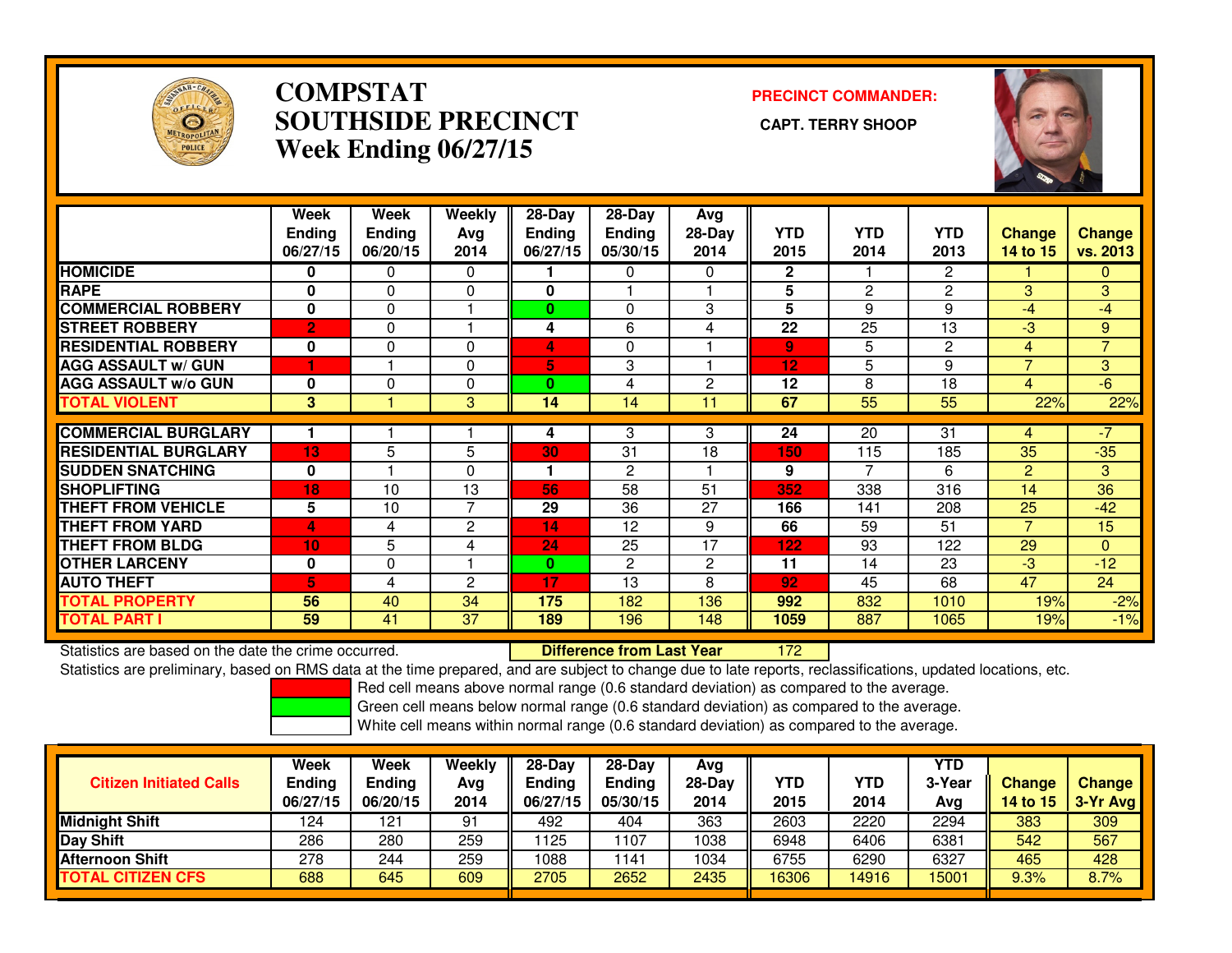

## **COMPSTAT PRECINCT COMMANDER: SOUTHSIDE PRECINCT CAPT. TERRY SHOOPWeek Ending 06/27/15**



|                             | Week<br><b>Ending</b><br>06/27/15 | <b>Week</b><br><b>Ending</b><br>06/20/15 | Weekly<br>Avg<br>2014 | $28-Day$<br>Ending<br>06/27/15 | $28 - Day$<br><b>Ending</b><br>05/30/15 | Avg<br>$28-Day$<br>2014 | <b>YTD</b><br>2015 | <b>YTD</b><br>2014 | <b>YTD</b><br>2013 | <b>Change</b><br><b>14 to 15</b> | <b>Change</b><br>vs. 2013 |
|-----------------------------|-----------------------------------|------------------------------------------|-----------------------|--------------------------------|-----------------------------------------|-------------------------|--------------------|--------------------|--------------------|----------------------------------|---------------------------|
| <b>HOMICIDE</b>             | 0                                 | 0                                        | 0                     |                                | 0                                       | 0                       | 2                  |                    | 2                  |                                  | 0                         |
| <b>RAPE</b>                 | $\bf{0}$                          | $\Omega$                                 | $\Omega$              | 0                              |                                         |                         | 5                  | 2                  | 2                  | 3                                | 3                         |
| <b>COMMERCIAL ROBBERY</b>   | $\mathbf{0}$                      | $\Omega$                                 |                       | $\mathbf{0}$                   | $\Omega$                                | 3                       | 5                  | 9                  | 9                  | $-4$                             | $-4$                      |
| <b>STREET ROBBERY</b>       | $\overline{2}$                    | $\Omega$                                 |                       | 4                              | 6                                       | 4                       | 22                 | 25                 | 13                 | $-3$                             | 9                         |
| <b>RESIDENTIAL ROBBERY</b>  | $\bf{0}$                          | 0                                        | 0                     | 4                              | $\Omega$                                |                         | 9                  | 5                  | $\overline{2}$     | 4                                | $\overline{7}$            |
| <b>AGG ASSAULT w/ GUN</b>   | 4                                 |                                          | $\Omega$              | 5                              | 3                                       |                         | 12                 | 5                  | 9                  | $\overline{\phantom{a}}$         | $\mathbf{3}$              |
| <b>AGG ASSAULT w/o GUN</b>  | $\bf{0}$                          | $\Omega$                                 | $\Omega$              | 0                              | 4                                       | 2                       | 12                 | 8                  | 18                 | 4                                | $-6$                      |
| <b>TOTAL VIOLENT</b>        | 3                                 |                                          | 3                     | 14                             | 14                                      | 11                      | 67                 | 55                 | 55                 | 22%                              | 22%                       |
|                             |                                   |                                          |                       |                                |                                         |                         |                    |                    |                    |                                  |                           |
| <b>COMMERCIAL BURGLARY</b>  |                                   |                                          |                       | 4                              | 3                                       | 3                       | 24                 | 20                 | 31                 | 4                                | $-7$                      |
| <b>RESIDENTIAL BURGLARY</b> | 13                                | 5                                        | 5                     | 30                             | 31                                      | 18                      | 150                | 115                | 185                | 35                               | $-35$                     |
| <b>SUDDEN SNATCHING</b>     | $\bf{0}$                          |                                          | $\Omega$              |                                | 2                                       |                         | 9                  | 7                  | 6                  | $\overline{2}$                   | 3                         |
| <b>SHOPLIFTING</b>          | 18                                | 10                                       | 13                    | 56                             | 58                                      | 51                      | 352                | 338                | 316                | 14                               | 36                        |
| <b>THEFT FROM VEHICLE</b>   | 5                                 | 10                                       | $\overline{7}$        | 29                             | 36                                      | 27                      | 166                | 141                | 208                | 25                               | $-42$                     |
| <b>THEFT FROM YARD</b>      | 4                                 | 4                                        | $\mathbf{2}$          | 14                             | 12                                      | 9                       | 66                 | 59                 | 51                 | $\overline{\phantom{a}}$         | 15                        |
| <b>THEFT FROM BLDG</b>      | 10                                | 5                                        | 4                     | 24                             | 25                                      | 17                      | 122                | 93                 | 122                | 29                               | $\Omega$                  |
| <b>OTHER LARCENY</b>        | 0                                 | $\mathbf 0$                              |                       | 0                              | 2                                       | 2                       | 11                 | 14                 | 23                 | $-3$                             | $-12$                     |
| <b>AUTO THEFT</b>           | 5                                 | 4                                        | $\overline{2}$        | 17                             | 13                                      | 8                       | 92                 | 45                 | 68                 | 47                               | 24                        |
| <b>TOTAL PROPERTY</b>       | 56                                | 40                                       | 34                    | 175                            | 182                                     | 136                     | 992                | 832                | 1010               | 19%                              | $-2%$                     |
| <b>TOTAL PART I</b>         | 59                                | 41                                       | 37                    | 189                            | 196                                     | 148                     | 1059               | 887                | 1065               | 19%                              | $-1%$                     |

Statistics are based on the date the crime occurred. **Difference from Last Year** 

<sup>172</sup>

Statistics are preliminary, based on RMS data at the time prepared, and are subject to change due to late reports, reclassifications, updated locations, etc.

Red cell means above normal range (0.6 standard deviation) as compared to the average.

Green cell means below normal range (0.6 standard deviation) as compared to the average.

| <b>Citizen Initiated Calls</b> | Week<br><b>Ending</b><br>06/27/15 | <b>Week</b><br>Ending<br>06/20/15 | Weekly<br>Avg<br>2014 | $28-Day$<br>Ending<br>06/27/15 | $28$ -Dav<br><b>Ending</b><br>05/30/15 | Ava<br>$28-Day$<br>2014 | YTD<br>2015 | YTD<br>2014 | YTD<br>3-Year<br>Avg | <b>Change</b><br>14 to 15 | <b>Change</b><br>3-Yr Avg |
|--------------------------------|-----------------------------------|-----------------------------------|-----------------------|--------------------------------|----------------------------------------|-------------------------|-------------|-------------|----------------------|---------------------------|---------------------------|
| <b>Midnight Shift</b>          | 124                               | 121                               | 91                    | 492                            | 404                                    | 363                     | 2603        | 2220        | 2294                 | 383                       | 309                       |
| Day Shift                      | 286                               | 280                               | 259                   | 1125                           | 1107                                   | 1038                    | 6948        | 6406        | 6381                 | 542                       | 567                       |
| <b>Afternoon Shift</b>         | 278                               | 244                               | 259                   | 1088                           | 1141                                   | 1034                    | 6755        | 6290        | 6327                 | 465                       | 428                       |
| <b>TOTAL CITIZEN CFS</b>       | 688                               | 645                               | 609                   | 2705                           | 2652                                   | 2435                    | 16306       | 14916       | 15001                | 9.3%                      | 8.7%                      |